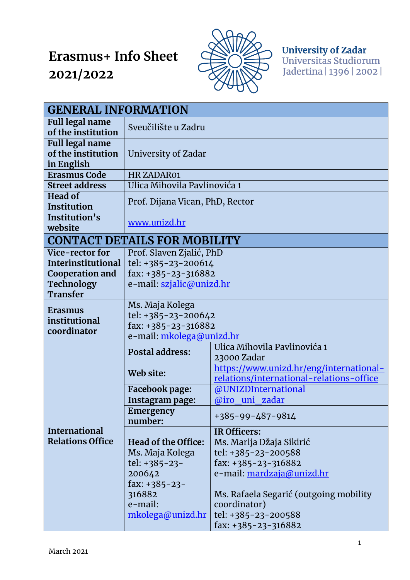## **Erasmus+ Info Sheet 2021/2022**



**University of Zadar**<br>Universitas Studiorum Jadertina | 1396 | 2002 |

| <b>GENERAL INFORMATION</b>                                 |                                                                                           |                                                                                     |  |  |
|------------------------------------------------------------|-------------------------------------------------------------------------------------------|-------------------------------------------------------------------------------------|--|--|
| <b>Full legal name</b><br>of the institution               | Sveučilište u Zadru                                                                       |                                                                                     |  |  |
| <b>Full legal name</b><br>of the institution<br>in English | University of Zadar                                                                       |                                                                                     |  |  |
| <b>Erasmus Code</b>                                        | HR ZADAR01                                                                                |                                                                                     |  |  |
| <b>Street address</b>                                      | Ulica Mihovila Pavlinovića 1                                                              |                                                                                     |  |  |
| <b>Head of</b><br>Institution                              | Prof. Dijana Vican, PhD, Rector                                                           |                                                                                     |  |  |
| Institution's<br>website                                   | www.unizd.hr                                                                              |                                                                                     |  |  |
| <b>CONTACT DETAILS FOR MOBILITY</b>                        |                                                                                           |                                                                                     |  |  |
| Vice-rector for                                            | Prof. Slaven Zjalić, PhD<br>tel: +385-23-200614<br>fax: +385-23-316882                    |                                                                                     |  |  |
| <b>Interinstitutional</b>                                  |                                                                                           |                                                                                     |  |  |
| <b>Cooperation and</b>                                     |                                                                                           |                                                                                     |  |  |
| Technology                                                 | e-mail: szjalic@unizd.hr                                                                  |                                                                                     |  |  |
| <b>Transfer</b>                                            |                                                                                           |                                                                                     |  |  |
| <b>Erasmus</b><br>institutional<br>coordinator             | Ms. Maja Kolega<br>tel: +385-23-200642<br>fax: +385-23-316882<br>e-mail: mkolega@unizd.hr |                                                                                     |  |  |
|                                                            | <b>Postal address:</b>                                                                    | Ulica Mihovila Pavlinovića 1<br>23000 Zadar                                         |  |  |
|                                                            | Web site:                                                                                 | https://www.unizd.hr/eng/international-<br>relations/international-relations-office |  |  |
|                                                            | Facebook page:                                                                            | @UNIZDInternational                                                                 |  |  |
|                                                            | Instagram page:                                                                           | @iro uni zadar                                                                      |  |  |
| <b>International</b><br><b>Relations Office</b>            | Emergency<br>number:                                                                      | +385-99-487-9814                                                                    |  |  |
|                                                            | Head of the Office:                                                                       | IR Officers:<br>Ms. Marija Džaja Sikirić                                            |  |  |
|                                                            | Ms. Maja Kolega                                                                           | tel: +385-23-200588                                                                 |  |  |
|                                                            | tel: $+385-23-$                                                                           | fax: $+385-23-316882$                                                               |  |  |
|                                                            | 200642                                                                                    | e-mail: <u>mardzaja@unizd.hr</u>                                                    |  |  |
|                                                            | fax: $+385-23-$                                                                           |                                                                                     |  |  |
|                                                            | 316882                                                                                    | Ms. Rafaela Segarić (outgoing mobility                                              |  |  |
|                                                            | e-mail:                                                                                   | coordinator)                                                                        |  |  |
|                                                            | mkolega@unizd.hr                                                                          | tel: +385-23-200588                                                                 |  |  |
|                                                            |                                                                                           | fax: $+385-23-316882$                                                               |  |  |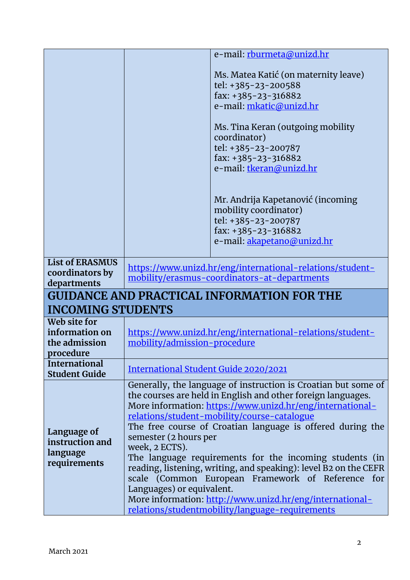|                                                              | e-mail: rburmeta@unizd.hr                                                                                                                                                                                                                                                                                                                                                                                                                                                                                                                                                                                                                                                           |  |  |  |
|--------------------------------------------------------------|-------------------------------------------------------------------------------------------------------------------------------------------------------------------------------------------------------------------------------------------------------------------------------------------------------------------------------------------------------------------------------------------------------------------------------------------------------------------------------------------------------------------------------------------------------------------------------------------------------------------------------------------------------------------------------------|--|--|--|
|                                                              | Ms. Matea Katić (on maternity leave)<br>tel: +385-23-200588<br>fax: $+385-23-316882$<br>e-mail: mkatic@unizd.hr<br>Ms. Tina Keran (outgoing mobility<br>coordinator)<br>tel: +385-23-200787<br>fax: +385-23-316882<br>e-mail: tkeran@unizd.hr                                                                                                                                                                                                                                                                                                                                                                                                                                       |  |  |  |
|                                                              | Mr. Andrija Kapetanović (incoming<br>mobility coordinator)<br>tel: +385-23-200787<br>fax: $+385-23-316882$<br>e-mail: <u>akapetano@unizd.hr</u>                                                                                                                                                                                                                                                                                                                                                                                                                                                                                                                                     |  |  |  |
| <b>List of ERASMUS</b><br>coordinators by<br>departments     | https://www.unizd.hr/eng/international-relations/student-<br>mobility/erasmus-coordinators-at-departments                                                                                                                                                                                                                                                                                                                                                                                                                                                                                                                                                                           |  |  |  |
| <b>GUIDANCE AND PRACTICAL INFORMATION FOR THE</b>            |                                                                                                                                                                                                                                                                                                                                                                                                                                                                                                                                                                                                                                                                                     |  |  |  |
| <b>INCOMING STUDENTS</b>                                     |                                                                                                                                                                                                                                                                                                                                                                                                                                                                                                                                                                                                                                                                                     |  |  |  |
| Web site for<br>information on<br>the admission<br>procedure | https://www.unizd.hr/eng/international-relations/student-<br>mobility/admission-procedure                                                                                                                                                                                                                                                                                                                                                                                                                                                                                                                                                                                           |  |  |  |
| <b>International</b><br><b>Student Guide</b>                 | International Student Guide 2020/2021                                                                                                                                                                                                                                                                                                                                                                                                                                                                                                                                                                                                                                               |  |  |  |
| Language of<br>instruction and<br>language<br>requirements   | Generally, the language of instruction is Croatian but some of<br>the courses are held in English and other foreign languages.<br>More information: https://www.unizd.hr/eng/international-<br>relations/student-mobility/course-catalogue<br>The free course of Croatian language is offered during the<br>semester (2 hours per<br>week, 2 ECTS).<br>The language requirements for the incoming students (in<br>reading, listening, writing, and speaking): level B2 on the CEFR<br>scale (Common European Framework of Reference for<br>Languages) or equivalent.<br>More information: http://www.unizd.hr/eng/international-<br>relations/studentmobility/language-requirements |  |  |  |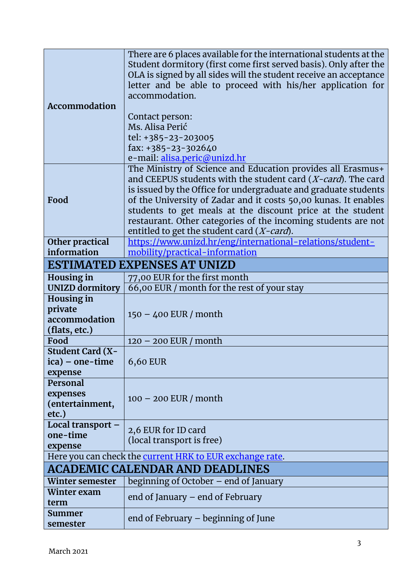|                                                          | There are 6 places available for the international students at the |  |  |
|----------------------------------------------------------|--------------------------------------------------------------------|--|--|
|                                                          | Student dormitory (first come first served basis). Only after the  |  |  |
|                                                          | OLA is signed by all sides will the student receive an acceptance  |  |  |
|                                                          |                                                                    |  |  |
|                                                          | letter and be able to proceed with his/her application for         |  |  |
|                                                          | accommodation.                                                     |  |  |
| Accommodation                                            |                                                                    |  |  |
|                                                          | Contact person:                                                    |  |  |
|                                                          | Ms. Alisa Perić                                                    |  |  |
|                                                          | tel: +385-23-203005                                                |  |  |
|                                                          | fax: $+385-23-302640$                                              |  |  |
|                                                          | e-mail: alisa.peric@unizd.hr                                       |  |  |
|                                                          | The Ministry of Science and Education provides all Erasmus+        |  |  |
|                                                          | and CEEPUS students with the student card (X-card). The card       |  |  |
|                                                          | is issued by the Office for undergraduate and graduate students    |  |  |
| Food                                                     | of the University of Zadar and it costs 50,00 kunas. It enables    |  |  |
|                                                          | students to get meals at the discount price at the student         |  |  |
|                                                          | restaurant. Other categories of the incoming students are not      |  |  |
|                                                          | entitled to get the student card (X-card).                         |  |  |
| Other practical                                          | https://www.unizd.hr/eng/international-relations/student-          |  |  |
| information                                              | mobility/practical-information                                     |  |  |
| <b>ESTIMATED EXPENSES AT UNIZD</b>                       |                                                                    |  |  |
| <b>Housing in</b>                                        | 77,00 EUR for the first month                                      |  |  |
| <b>UNIZD dormitory</b>                                   | 66,00 EUR / month for the rest of your stay                        |  |  |
| <b>Housing in</b>                                        |                                                                    |  |  |
| private                                                  |                                                                    |  |  |
| accommodation                                            | $150 - 400$ EUR / month                                            |  |  |
| (flats, etc.)                                            |                                                                    |  |  |
| Food                                                     | $120 - 200$ EUR / month                                            |  |  |
| <b>Student Card (X-</b>                                  |                                                                    |  |  |
| ica) – one-time                                          | 6,60 EUR                                                           |  |  |
| expense                                                  |                                                                    |  |  |
| Personal                                                 |                                                                    |  |  |
| expenses                                                 |                                                                    |  |  |
| (entertainment,                                          | $100 - 200$ EUR / month                                            |  |  |
| etc.)                                                    |                                                                    |  |  |
| Local transport -                                        |                                                                    |  |  |
| one-time                                                 | 2,6 EUR for ID card                                                |  |  |
| expense                                                  | (local transport is free)                                          |  |  |
| Here you can check the current HRK to EUR exchange rate. |                                                                    |  |  |
| <b>ACADEMIC CALENDAR AND DEADLINES</b>                   |                                                                    |  |  |
| Winter semester                                          | beginning of October – end of January                              |  |  |
| Winter exam                                              |                                                                    |  |  |
| term                                                     | end of January – end of February                                   |  |  |
| Summer                                                   |                                                                    |  |  |
| semester                                                 | end of February – beginning of June                                |  |  |